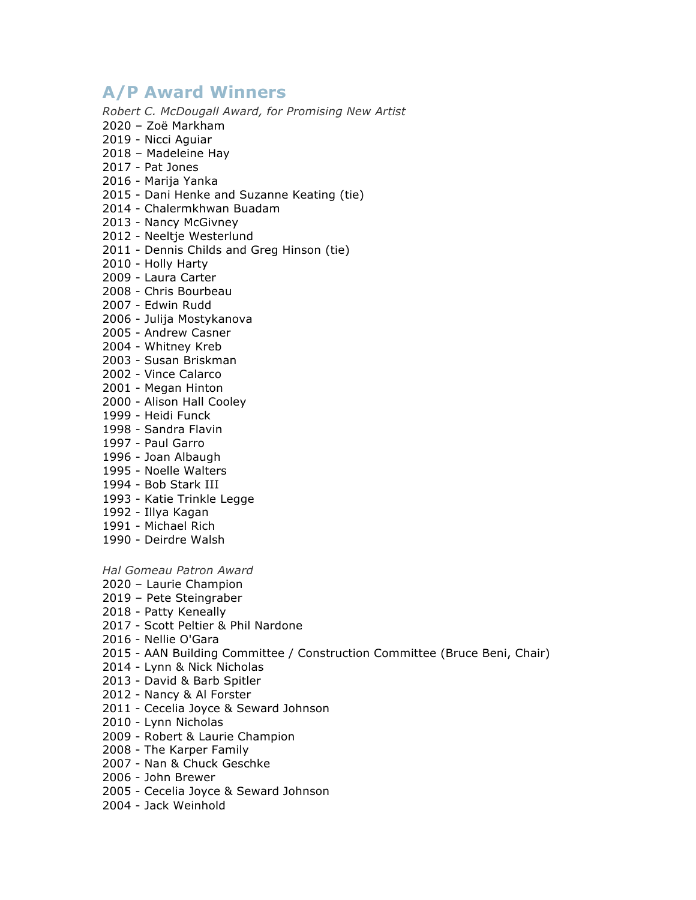# **A/P Award Winners**

*Robert C. McDougall Award, for Promising New Artist*

- 2020 Zoë Markham
- 2019 Nicci Aguiar
- 2018 Madeleine Hay
- 2017 Pat Jones
- 2016 Marija Yanka
- 2015 Dani Henke and Suzanne Keating (tie)
- 2014 Chalermkhwan Buadam
- 2013 Nancy McGivney
- 2012 Neeltje Westerlund
- 2011 Dennis Childs and Greg Hinson (tie)
- 2010 Holly Harty
- 2009 Laura Carter
- 2008 Chris Bourbeau
- 2007 Edwin Rudd
- 2006 Julija Mostykanova
- 2005 Andrew Casner
- 2004 Whitney Kreb
- 2003 Susan Briskman
- 2002 Vince Calarco
- 2001 Megan Hinton
- 2000 Alison Hall Cooley
- 1999 Heidi Funck
- 1998 Sandra Flavin
- 1997 Paul Garro
- 1996 Joan Albaugh
- 1995 Noelle Walters
- 1994 Bob Stark III
- 1993 Katie Trinkle Legge
- 1992 Illya Kagan
- 1991 Michael Rich
- 1990 Deirdre Walsh

*Hal Gomeau Patron Award*

- 2020 Laurie Champion
- 2019 Pete Steingraber
- 2018 Patty Keneally
- 2017 Scott Peltier & Phil Nardone
- 2016 Nellie O'Gara
- 2015 AAN Building Committee / Construction Committee (Bruce Beni, Chair)
- 2014 Lynn & Nick Nicholas
- 2013 David & Barb Spitler
- 2012 Nancy & Al Forster
- 2011 Cecelia Joyce & Seward Johnson
- 2010 Lynn Nicholas
- 2009 Robert & Laurie Champion
- 2008 The Karper Family
- 2007 Nan & Chuck Geschke
- 2006 John Brewer
- 2005 Cecelia Joyce & Seward Johnson
- 2004 Jack Weinhold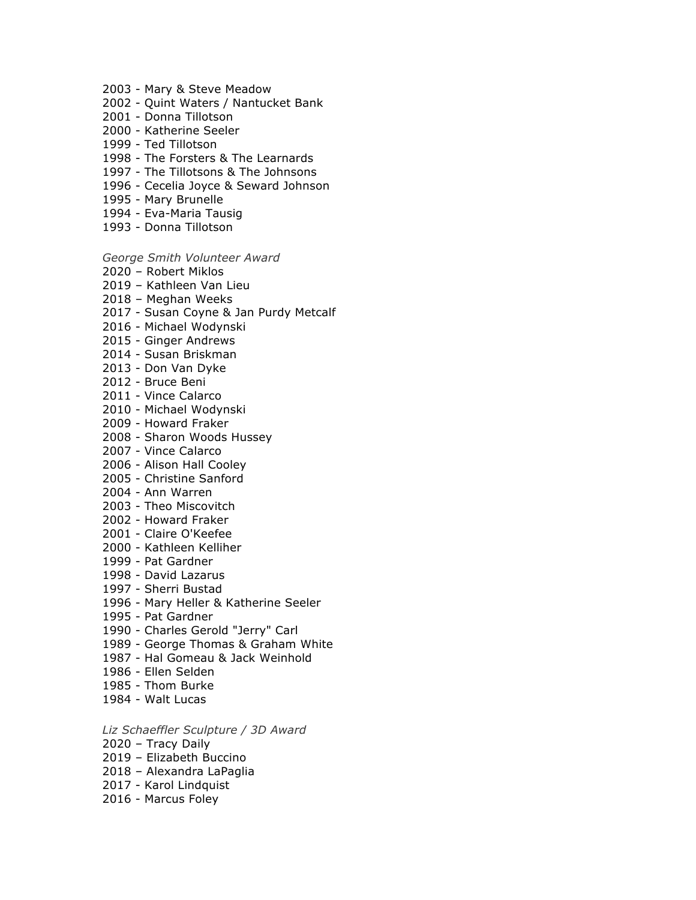- 2003 Mary & Steve Meadow
- 2002 Quint Waters / Nantucket Bank
- 2001 Donna Tillotson
- 2000 Katherine Seeler
- 1999 Ted Tillotson
- 1998 The Forsters & The Learnards
- 1997 The Tillotsons & The Johnsons
- 1996 Cecelia Joyce & Seward Johnson
- 1995 Mary Brunelle
- 1994 Eva-Maria Tausig
- 1993 Donna Tillotson

#### *George Smith Volunteer Award*

- 2020 Robert Miklos
- 2019 Kathleen Van Lieu
- 2018 Meghan Weeks
- 2017 Susan Coyne & Jan Purdy Metcalf
- 2016 Michael Wodynski
- 2015 Ginger Andrews
- 2014 Susan Briskman
- 2013 Don Van Dyke
- 2012 Bruce Beni
- 2011 Vince Calarco
- 2010 Michael Wodynski
- 2009 Howard Fraker
- 2008 Sharon Woods Hussey
- 2007 Vince Calarco
- 2006 Alison Hall Cooley
- 2005 Christine Sanford
- 2004 Ann Warren
- 2003 Theo Miscovitch
- 2002 Howard Fraker
- 2001 Claire O'Keefee
- 2000 Kathleen Kelliher
- 1999 Pat Gardner
- 1998 David Lazarus
- 1997 Sherri Bustad
- 1996 Mary Heller & Katherine Seeler
- 1995 Pat Gardner
- 1990 Charles Gerold "Jerry" Carl
- 1989 George Thomas & Graham White
- 1987 Hal Gomeau & Jack Weinhold
- 1986 Ellen Selden
- 1985 Thom Burke
- 1984 Walt Lucas
- *Liz Schaeffler Sculpture / 3D Award*
- 2020 Tracy Daily
- 2019 Elizabeth Buccino
- 2018 Alexandra LaPaglia
- 2017 Karol Lindquist
- 2016 Marcus Foley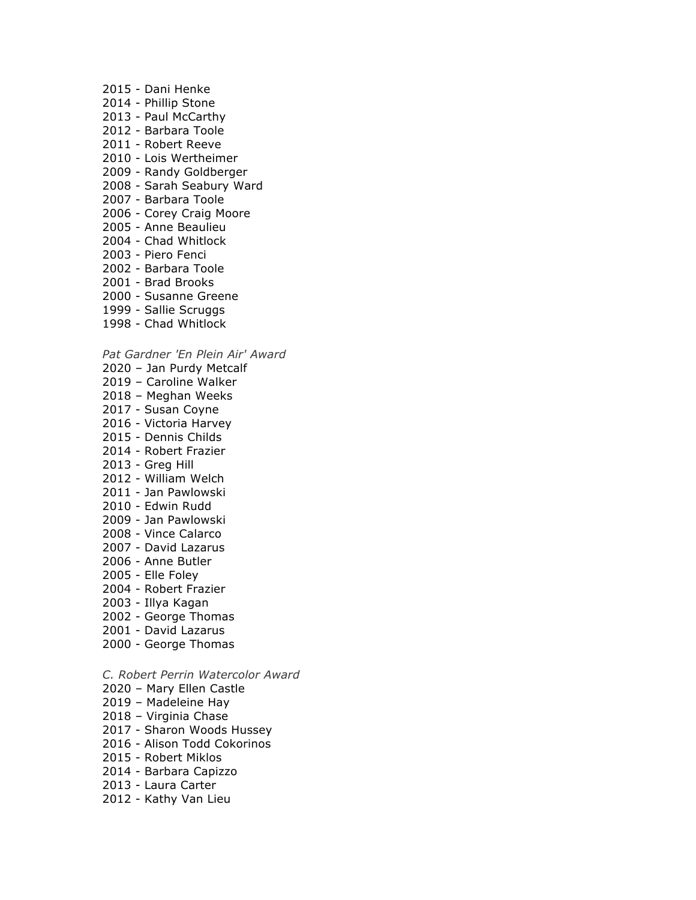- 2015 Dani Henke
- 2014 Phillip Stone
- 2013 Paul McCarthy
- 2012 Barbara Toole
- 2011 Robert Reeve
- 2010 Lois Wertheimer
- 2009 Randy Goldberger
- 2008 Sarah Seabury Ward
- 2007 Barbara Toole
- 2006 Corey Craig Moore
- 2005 Anne Beaulieu
- 2004 Chad Whitlock
- 2003 Piero Fenci
- 2002 Barbara Toole
- 2001 Brad Brooks
- 2000 Susanne Greene
- 1999 Sallie Scruggs
- 1998 Chad Whitlock

*Pat Gardner 'En Plein Air' Award*

- 2020 Jan Purdy Metcalf
- 2019 Caroline Walker
- 2018 Meghan Weeks
- 2017 Susan Coyne
- 2016 Victoria Harvey
- 2015 Dennis Childs
- 2014 Robert Frazier
- 2013 Greg Hill
- 2012 William Welch
- 2011 Jan Pawlowski
- 2010 Edwin Rudd
- 2009 Jan Pawlowski
- 2008 Vince Calarco
- 2007 David Lazarus
- 2006 Anne Butler
- 2005 Elle Foley
- 2004 Robert Frazier
- 2003 Illya Kagan
- 2002 George Thomas
- 2001 David Lazarus
- 2000 George Thomas
- *C. Robert Perrin Watercolor Award*
- 2020 Mary Ellen Castle
- 2019 Madeleine Hay
- 2018 Virginia Chase
- 2017 Sharon Woods Hussey
- 2016 Alison Todd Cokorinos
- 2015 Robert Miklos
- 2014 Barbara Capizzo
- 2013 Laura Carter
- 2012 Kathy Van Lieu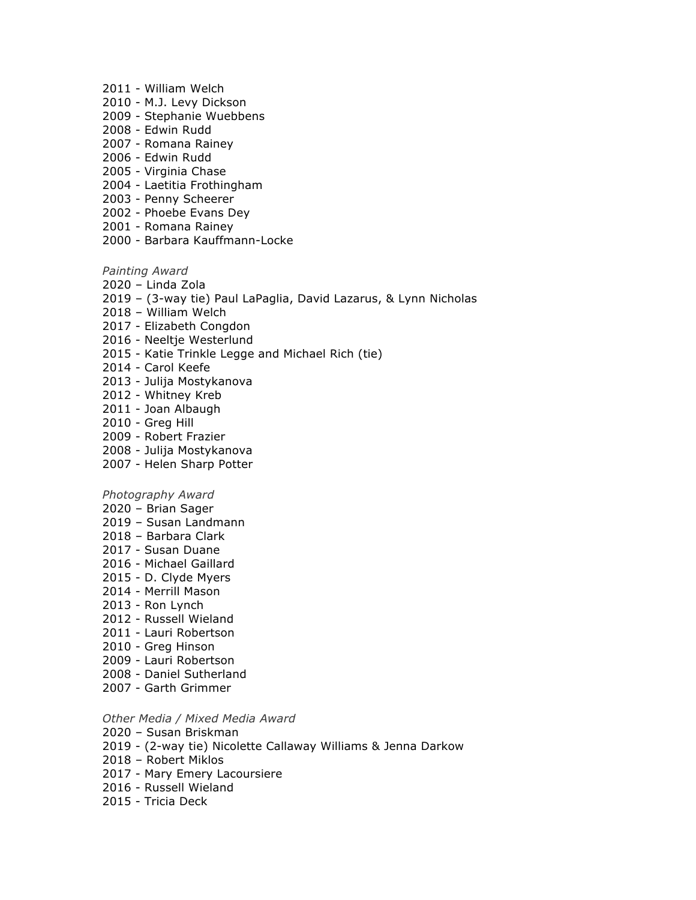- 2011 William Welch
- 2010 M.J. Levy Dickson
- 2009 Stephanie Wuebbens
- 2008 Edwin Rudd
- 2007 Romana Rainey
- 2006 Edwin Rudd
- 2005 Virginia Chase
- 2004 Laetitia Frothingham
- 2003 Penny Scheerer
- 2002 Phoebe Evans Dey
- 2001 Romana Rainey
- 2000 Barbara Kauffmann-Locke

*Painting Award*

- 2020 Linda Zola
- 2019 (3-way tie) Paul LaPaglia, David Lazarus, & Lynn Nicholas
- 2018 William Welch
- 2017 Elizabeth Congdon
- 2016 Neeltje Westerlund
- 2015 Katie Trinkle Legge and Michael Rich (tie)
- 2014 Carol Keefe
- 2013 Julija Mostykanova
- 2012 Whitney Kreb
- 2011 Joan Albaugh
- 2010 Greg Hill
- 2009 Robert Frazier
- 2008 Julija Mostykanova
- 2007 Helen Sharp Potter

### *Photography Award*

- 2020 Brian Sager
- 2019 Susan Landmann
- 2018 Barbara Clark
- 2017 Susan Duane
- 2016 Michael Gaillard
- 2015 D. Clyde Myers
- 2014 Merrill Mason
- 2013 Ron Lynch
- 2012 Russell Wieland
- 2011 Lauri Robertson
- 2010 Greg Hinson
- 2009 Lauri Robertson
- 2008 Daniel Sutherland
- 2007 Garth Grimmer

## *Other Media / Mixed Media Award*

- 2020 Susan Briskman
- 2019 (2-way tie) Nicolette Callaway Williams & Jenna Darkow
- 2018 Robert Miklos
- 2017 Mary Emery Lacoursiere
- 2016 Russell Wieland
- 2015 Tricia Deck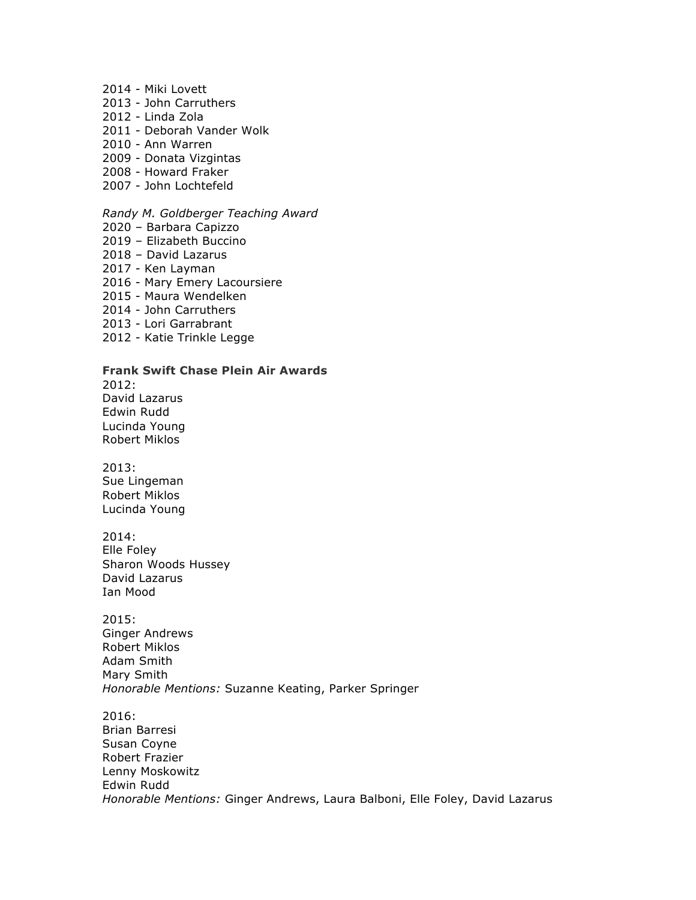- 2014 Miki Lovett
- 2013 John Carruthers
- 2012 Linda Zola
- 2011 Deborah Vander Wolk
- 2010 Ann Warren
- 2009 Donata Vizgintas
- 2008 Howard Fraker
- 2007 John Lochtefeld

## *Randy M. Goldberger Teaching Award*

- 2020 Barbara Capizzo
- 2019 Elizabeth Buccino
- 2018 David Lazarus
- 2017 Ken Layman
- 2016 Mary Emery Lacoursiere
- 2015 Maura Wendelken
- 2014 John Carruthers
- 2013 Lori Garrabrant
- 2012 Katie Trinkle Legge

## **Frank Swift Chase Plein Air Awards**

2012: David Lazarus Edwin Rudd Lucinda Young

Robert Miklos

2013: Sue Lingeman Robert Miklos Lucinda Young

2014: Elle Foley Sharon Woods Hussey David Lazarus Ian Mood

2015: Ginger Andrews Robert Miklos Adam Smith Mary Smith *Honorable Mentions:* Suzanne Keating, Parker Springer

2016: Brian Barresi Susan Coyne Robert Frazier Lenny Moskowitz Edwin Rudd *Honorable Mentions:* Ginger Andrews, Laura Balboni, Elle Foley, David Lazarus